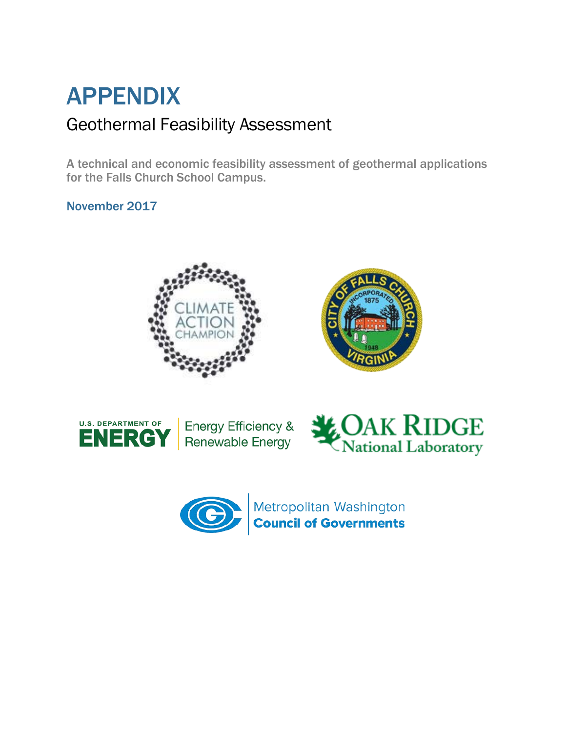# APPENDIX Geothermal Feasibility Assessment

A technical and economic feasibility assessment of geothermal applications for the Falls Church School Campus.

November 2017







Energy Efficiency & **Renewable Energy** 





Metropolitan Washington<br><mark>Council of Governments</mark>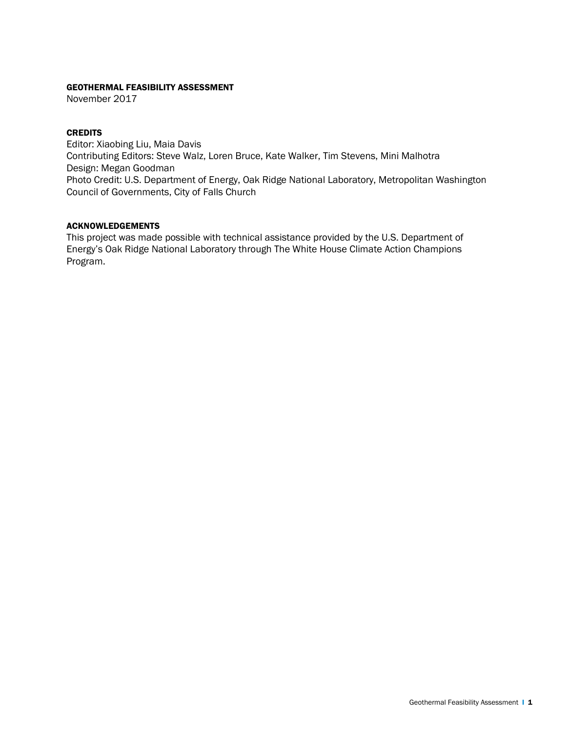#### GEOTHERMAL FEASIBILITY ASSESSMENT

November 2017

#### **CREDITS**

Editor: Xiaobing Liu, Maia Davis Contributing Editors: Steve Walz, Loren Bruce, Kate Walker, Tim Stevens, Mini Malhotra Design: Megan Goodman Photo Credit: U.S. Department of Energy, Oak Ridge National Laboratory, Metropolitan Washington Council of Governments, City of Falls Church

#### ACKNOWLEDGEMENTS

This project was made possible with technical assistance provided by the U.S. Department of Energy's Oak Ridge National Laboratory through The White House Climate Action Champions Program.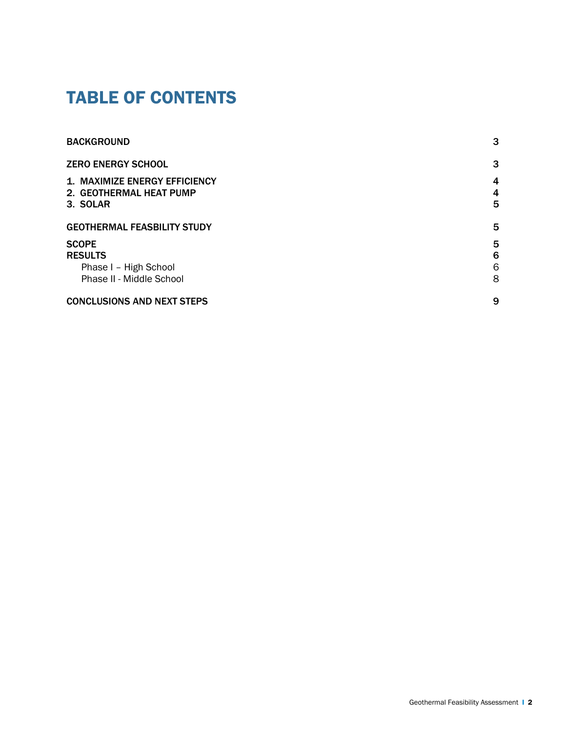### TABLE OF CONTENTS

| <b>BACKGROUND</b>                                               | 3                   |
|-----------------------------------------------------------------|---------------------|
| <b>ZERO ENERGY SCHOOL</b>                                       | 3                   |
| <b>1. MAXIMIZE ENERGY EFFICIENCY</b><br>2. GEOTHERMAL HEAT PUMP | $\overline{4}$<br>4 |
| 3. SOLAR                                                        | 5                   |
| <b>GEOTHERMAL FEASBILITY STUDY</b>                              | 5                   |
| <b>SCOPE</b>                                                    | 5                   |
| <b>RESULTS</b>                                                  | 6                   |
| Phase I - High School                                           | 6                   |
| Phase II - Middle School                                        | 8                   |
| <b>CONCLUSIONS AND NEXT STEPS</b>                               | 9                   |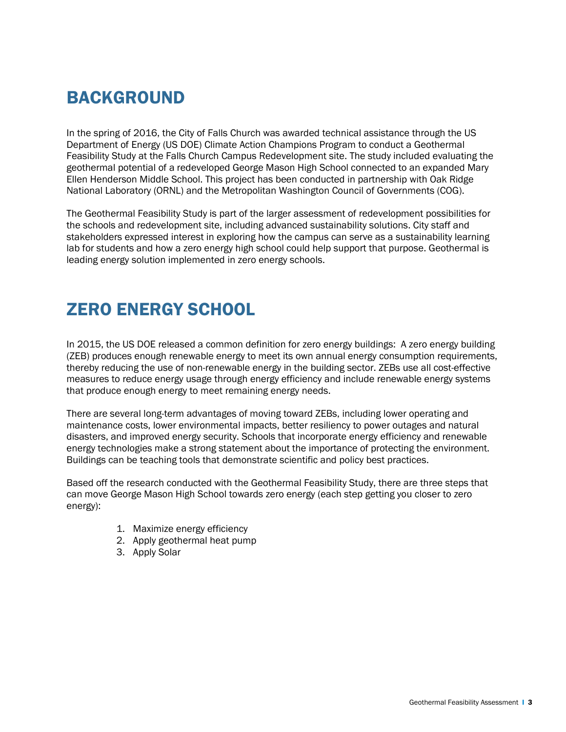# BACKGROUND

In the spring of 2016, the City of Falls Church was awarded technical assistance through the US Department of Energy (US DOE) Climate Action Champions Program to conduct a Geothermal Feasibility Study at the Falls Church Campus Redevelopment site. The study included evaluating the geothermal potential of a redeveloped George Mason High School connected to an expanded Mary Ellen Henderson Middle School. This project has been conducted in partnership with Oak Ridge National Laboratory (ORNL) and the Metropolitan Washington Council of Governments (COG).

The Geothermal Feasibility Study is part of the larger assessment of redevelopment possibilities for the schools and redevelopment site, including advanced sustainability solutions. City staff and stakeholders expressed interest in exploring how the campus can serve as a sustainability learning lab for students and how a zero energy high school could help support that purpose. Geothermal is leading energy solution implemented in zero energy schools.

## ZERO ENERGY SCHOOL

In 2015, the US DOE released a common definition for zero energy buildings: A zero energy building (ZEB) produces enough renewable energy to meet its own annual energy consumption requirements, thereby reducing the use of non-renewable energy in the building sector. ZEBs use all cost-effective measures to reduce energy usage through energy efficiency and include renewable energy systems that produce enough energy to meet remaining energy needs.

There are several long-term advantages of moving toward ZEBs, including lower operating and maintenance costs, lower environmental impacts, better resiliency to power outages and natural disasters, and improved energy security. Schools that incorporate energy efficiency and renewable energy technologies make a strong statement about the importance of protecting the environment. Buildings can be teaching tools that demonstrate scientific and policy best practices.

Based off the research conducted with the Geothermal Feasibility Study, there are three steps that can move George Mason High School towards zero energy (each step getting you closer to zero energy):

- 1. Maximize energy efficiency
- 2. Apply geothermal heat pump
- 3. Apply Solar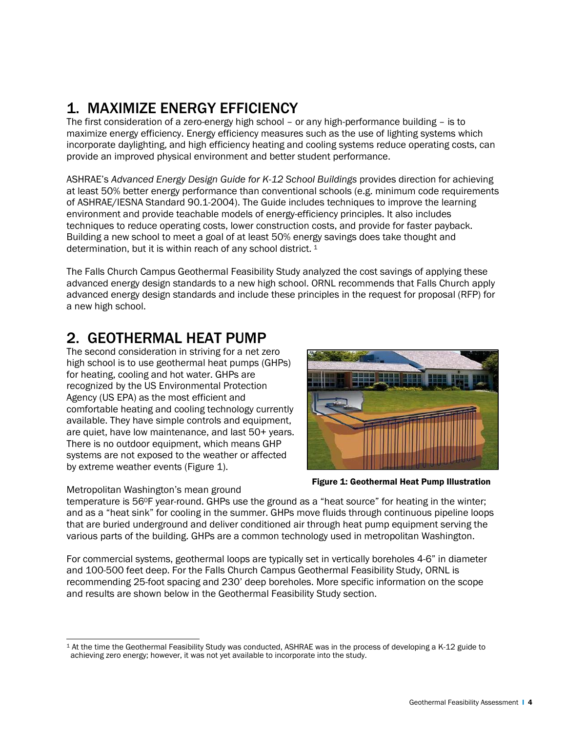### 1. MAXIMIZE ENERGY EFFICIENCY

The first consideration of a zero-energy high school – or any high-performance building – is to maximize energy efficiency. Energy efficiency measures such as the use of lighting systems which incorporate daylighting, and high efficiency heating and cooling systems reduce operating costs, can provide an improved physical environment and better student performance.

ASHRAE's *Advanced Energy Design Guide for K-12 School Buildings* provides direction for achieving at least 50% better energy performance than conventional schools (e.g. minimum code requirements of ASHRAE/IESNA Standard 90.1-2004). The Guide includes techniques to improve the learning environment and provide teachable models of energy-efficiency principles. It also includes techniques to reduce operating costs, lower construction costs, and provide for faster payback. Building a new school to meet a goal of at least 50% energy savings does take thought and determination, but it is within reach of any school district.<sup>[1](#page-4-0)</sup>

The Falls Church Campus Geothermal Feasibility Study analyzed the cost savings of applying these advanced energy design standards to a new high school. ORNL recommends that Falls Church apply advanced energy design standards and include these principles in the request for proposal (RFP) for a new high school.

### 2. GEOTHERMAL HEAT PUMP

The second consideration in striving for a net zero high school is to use geothermal heat pumps (GHPs) for heating, cooling and hot water. GHPs are recognized by the US Environmental Protection Agency (US EPA) as the most efficient and comfortable heating and cooling technology currently available. They have simple controls and equipment, are quiet, have low maintenance, and last 50+ years. There is no outdoor equipment, which means GHP systems are not exposed to the weather or affected by extreme weather events (Figure 1).



Figure 1: Geothermal Heat Pump Illustration

Metropolitan Washington's mean ground temperature is 560F year-round. GHPs use the ground as a "heat source" for heating in the winter; and as a "heat sink" for cooling in the summer. GHPs move fluids through continuous pipeline loops that are buried underground and deliver conditioned air through heat pump equipment serving the various parts of the building. GHPs are a common technology used in metropolitan Washington.

For commercial systems, geothermal loops are typically set in vertically boreholes 4-6" in diameter and 100-500 feet deep. For the Falls Church Campus Geothermal Feasibility Study, ORNL is recommending 25-foot spacing and 230' deep boreholes. More specific information on the scope and results are shown below in the Geothermal Feasibility Study section.

<span id="page-4-0"></span> $\overline{a}$ <sup>1</sup> At the time the Geothermal Feasibility Study was conducted, ASHRAE was in the process of developing a K-12 guide to achieving zero energy; however, it was not yet available to incorporate into the study.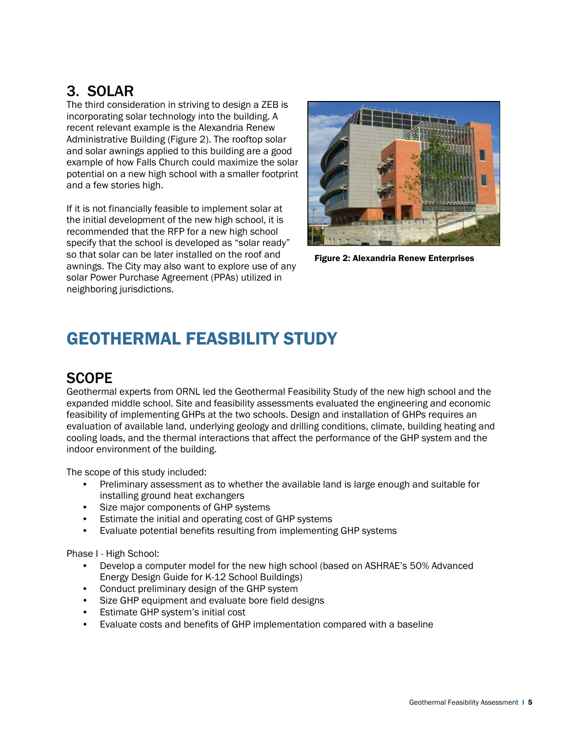### 3. SOLAR

The third consideration in striving to design a ZEB is incorporating solar technology into the building. A recent relevant example is the Alexandria Renew Administrative Building (Figure 2). The rooftop solar and solar awnings applied to this building are a good example of how Falls Church could maximize the solar potential on a new high school with a smaller footprint and a few stories high.

If it is not financially feasible to implement solar at the initial development of the new high school, it is recommended that the RFP for a new high school specify that the school is developed as "solar ready" so that solar can be later installed on the roof and awnings. The City may also want to explore use of any solar Power Purchase Agreement (PPAs) utilized in neighboring jurisdictions.



Figure 2: Alexandria Renew Enterprises

### GEOTHERMAL FEASBILITY STUDY

#### **SCOPE**

Geothermal experts from ORNL led the Geothermal Feasibility Study of the new high school and the expanded middle school. Site and feasibility assessments evaluated the engineering and economic feasibility of implementing GHPs at the two schools. Design and installation of GHPs requires an evaluation of available land, underlying geology and drilling conditions, climate, building heating and cooling loads, and the thermal interactions that affect the performance of the GHP system and the indoor environment of the building.

The scope of this study included:

- Preliminary assessment as to whether the available land is large enough and suitable for installing ground heat exchangers
- Size major components of GHP systems
- Estimate the initial and operating cost of GHP systems
- Evaluate potential benefits resulting from implementing GHP systems

Phase I - High School:

- Develop a computer model for the new high school (based on ASHRAE's 50% Advanced Energy Design Guide for K-12 School Buildings)
- Conduct preliminary design of the GHP system
- Size GHP equipment and evaluate bore field designs
- Estimate GHP system's initial cost
- Evaluate costs and benefits of GHP implementation compared with a baseline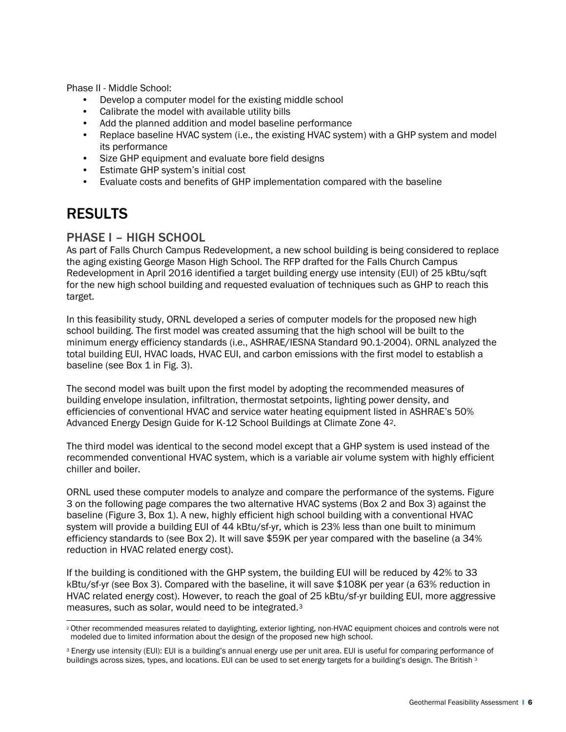Phase II - Middle School:

- Develop a computer model for the existing middle school
- Calibrate the model with available utility bills
- Add the planned addition and model baseline performance
- Replace baseline HVAC system (i.e., the existing HVAC system) with a GHP system and model its performance
- Size GHP equipment and evaluate bore field designs
- Estimate GHP system's initial cost
- Evaluate costs and benefits of GHP implementation compared with the baseline

#### RESULTS

#### PHASE I – HIGH SCHOOL

As part of Falls Church Campus Redevelopment, a new school building is being considered to replace the aging existing George Mason High School. The RFP drafted for the Falls Church Campus Redevelopment in April 2016 identified a target building energy use intensity (EUI) of 25 kBtu/sqft for the new high school building and requested evaluation of techniques such as GHP to reach this target.

In this feasibility study, ORNL developed a series of computer models for the proposed new high school building. The first model was created assuming that the high school will be built to the minimum energy efficiency standards (i.e., ASHRAE/IESNA Standard 90.1-2004). ORNL analyzed the total building EUI, HVAC loads, HVAC EUI, and carbon emissions with the first model to establish a baseline (see Box 1 in Fig. 3).

The second model was built upon the first model by adopting the recommended measures of building envelope insulation, infiltration, thermostat setpoints, lighting power density, and efficiencies of conventional HVAC and service water heating equipment listed in ASHRAE's 50% Advanced Energy Design Guide for K-12 School Buildings at Climate Zone 4[2.](#page-6-0)

The third model was identical to the second model except that a GHP system is used instead of the recommended conventional HVAC system, which is a variable air volume system with highly efficient chiller and boiler.

ORNL used these computer models to analyze and compare the performance of the systems. Figure 3 on the following page compares the two alternative HVAC systems (Box 2 and Box 3) against the baseline (Figure 3, Box 1). A new, highly efficient high school building with a conventional HVAC system will provide a building EUI of 44 kBtu/sf-yr, which is 23% less than one built to minimum efficiency standards to (see Box 2). It will save \$59K per year compared with the baseline (a 34% reduction in HVAC related energy cost).

If the building is conditioned with the GHP system, the building EUI will be reduced by 42% to 33 kBtu/sf-yr (see Box 3). Compared with the baseline, it will save \$108K per year (a 63% reduction in HVAC related energy cost). However, to reach the goal of 25 kBtu/sf-yr building EUI, more aggressive measures, such as solar, would need to be integrated.[3](#page-6-1)

<span id="page-6-0"></span> $\overline{a}$ <sup>2</sup> Other recommended measures related to daylighting, exterior lighting, non-HVAC equipment choices and controls were not modeled due to limited information about the design of the proposed new high school.

<span id="page-6-1"></span><sup>3</sup> Energy use intensity (EUI): EUI is a building's annual energy use per unit area. EUI is useful for comparing performance of buildings across sizes, types, and locations. EUI can be used to set energy targets for a building's design. The British 3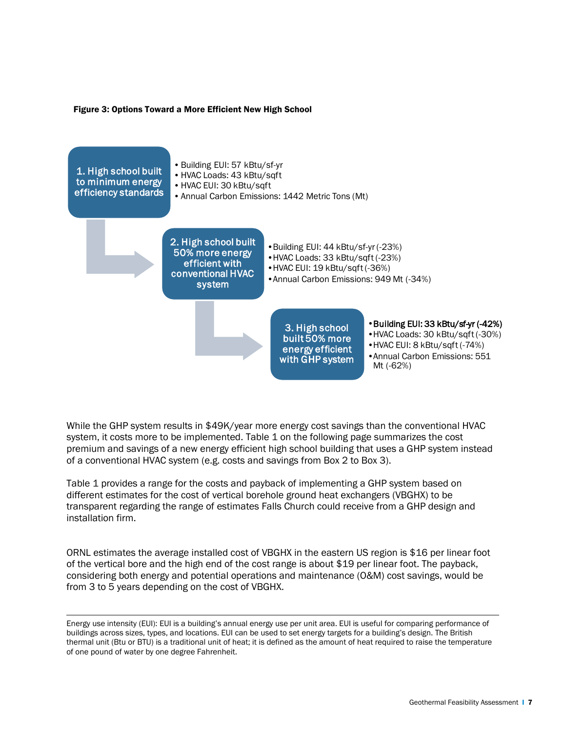#### Figure 3: Options Toward a More Efficient New High School



While the GHP system results in \$49K/year more energy cost savings than the conventional HVAC system, it costs more to be implemented. Table 1 on the following page summarizes the cost premium and savings of a new energy efficient high school building that uses a GHP system instead of a conventional HVAC system (e.g. costs and savings from Box 2 to Box 3).

Table 1 provides a range for the costs and payback of implementing a GHP system based on different estimates for the cost of vertical borehole ground heat exchangers (VBGHX) to be transparent regarding the range of estimates Falls Church could receive from a GHP design and installation firm.

ORNL estimates the average installed cost of VBGHX in the eastern US region is \$16 per linear foot of the vertical bore and the high end of the cost range is about \$19 per linear foot. The payback, considering both energy and potential operations and maintenance (O&M) cost savings, would be from 3 to 5 years depending on the cost of VBGHX.

 $\overline{a}$ Energy use intensity (EUI): EUI is a building's annual energy use per unit area. EUI is useful for comparing performance of buildings across sizes, types, and locations. EUI can be used to set energy targets for a building's design. The British thermal unit (Btu or BTU) is a traditional unit of heat; it is defined as the amount of heat required to raise the temperature of one pound of water by one degree Fahrenheit.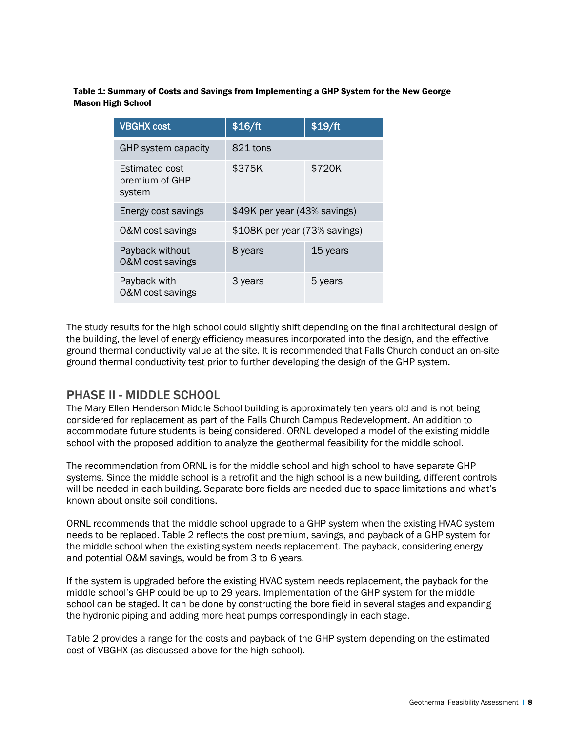Table 1: Summary of Costs and Savings from Implementing a GHP System for the New George Mason High School

| <b>VBGHX cost</b>                                 | \$16/ft                       | \$19/ft  |
|---------------------------------------------------|-------------------------------|----------|
| GHP system capacity                               | 821 tons                      |          |
| <b>Estimated cost</b><br>premium of GHP<br>system | \$375K                        | \$720K   |
| Energy cost savings                               | \$49K per year (43% savings)  |          |
| 0&M cost savings                                  | \$108K per year (73% savings) |          |
| Payback without<br>0&M cost savings               | 8 years                       | 15 years |
| Payback with<br>0&M cost savings                  | 3 years                       | 5 years  |

The study results for the high school could slightly shift depending on the final architectural design of the building, the level of energy efficiency measures incorporated into the design, and the effective ground thermal conductivity value at the site. It is recommended that Falls Church conduct an on-site ground thermal conductivity test prior to further developing the design of the GHP system.

#### PHASE II - MIDDLE SCHOOL

The Mary Ellen Henderson Middle School building is approximately ten years old and is not being considered for replacement as part of the Falls Church Campus Redevelopment. An addition to accommodate future students is being considered. ORNL developed a model of the existing middle school with the proposed addition to analyze the geothermal feasibility for the middle school.

The recommendation from ORNL is for the middle school and high school to have separate GHP systems. Since the middle school is a retrofit and the high school is a new building, different controls will be needed in each building. Separate bore fields are needed due to space limitations and what's known about onsite soil conditions.

ORNL recommends that the middle school upgrade to a GHP system when the existing HVAC system needs to be replaced. Table 2 reflects the cost premium, savings, and payback of a GHP system for the middle school when the existing system needs replacement. The payback, considering energy and potential O&M savings, would be from 3 to 6 years.

If the system is upgraded before the existing HVAC system needs replacement, the payback for the middle school's GHP could be up to 29 years. Implementation of the GHP system for the middle school can be staged. It can be done by constructing the bore field in several stages and expanding the hydronic piping and adding more heat pumps correspondingly in each stage.

Table 2 provides a range for the costs and payback of the GHP system depending on the estimated cost of VBGHX (as discussed above for the high school).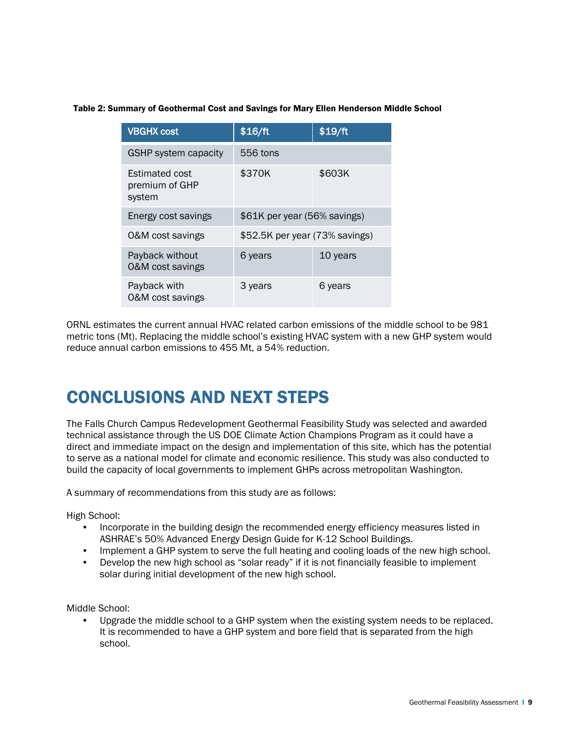#### Table 2: Summary of Geothermal Cost and Savings for Mary Ellen Henderson Middle School

| <b>VBGHX cost</b>                                 | \$16/ft                        | \$19/ft  |
|---------------------------------------------------|--------------------------------|----------|
| <b>GSHP system capacity</b>                       | 556 tons                       |          |
| <b>Estimated cost</b><br>premium of GHP<br>system | \$370K                         | \$603K   |
| Energy cost savings                               | \$61K per year (56% savings)   |          |
| 0&M cost savings                                  | \$52.5K per year (73% savings) |          |
| Payback without<br>0&M cost savings               | 6 years                        | 10 years |
| Payback with<br>0&M cost savings                  | 3 years                        | 6 years  |

ORNL estimates the current annual HVAC related carbon emissions of the middle school to be 981 metric tons (Mt). Replacing the middle school's existing HVAC system with a new GHP system would reduce annual carbon emissions to 455 Mt, a 54% reduction.

### CONCLUSIONS AND NEXT STEPS

The Falls Church Campus Redevelopment Geothermal Feasibility Study was selected and awarded technical assistance through the US DOE Climate Action Champions Program as it could have a direct and immediate impact on the design and implementation of this site, which has the potential to serve as a national model for climate and economic resilience. This study was also conducted to build the capacity of local governments to implement GHPs across metropolitan Washington.

A summary of recommendations from this study are as follows:

High School:

- Incorporate in the building design the recommended energy efficiency measures listed in ASHRAE's 50% Advanced Energy Design Guide for K-12 School Buildings.
- Implement a GHP system to serve the full heating and cooling loads of the new high school.
- Develop the new high school as "solar ready" if it is not financially feasible to implement solar during initial development of the new high school.

Middle School:

• Upgrade the middle school to a GHP system when the existing system needs to be replaced. It is recommended to have a GHP system and bore field that is separated from the high school.